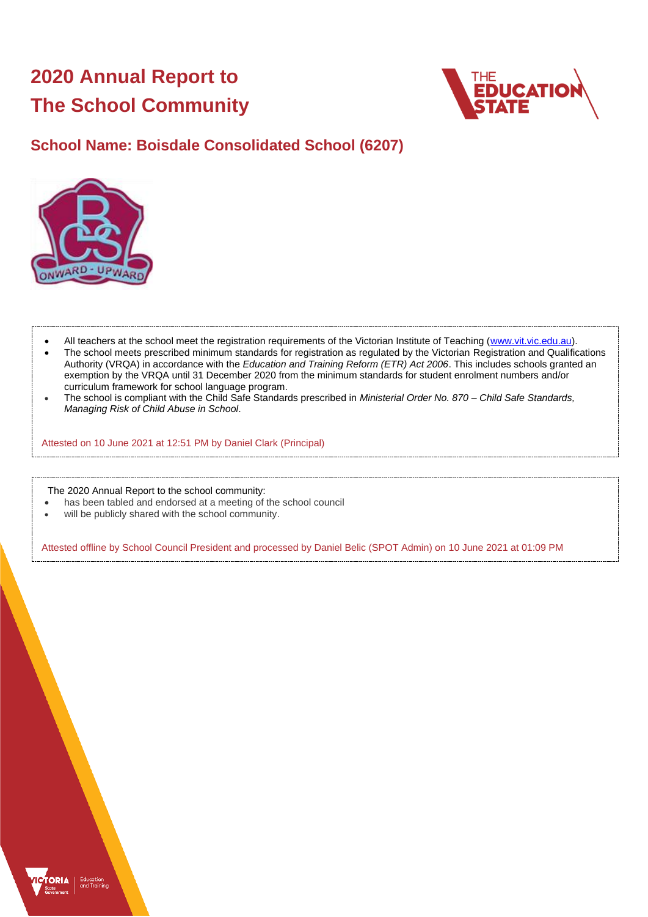# **2020 Annual Report to The School Community**



## **School Name: Boisdale Consolidated School (6207)**



- All teachers at the school meet the registration requirements of the Victorian Institute of Teaching [\(www.vit.vic.edu.au\)](https://www.vit.vic.edu.au/).
- The school meets prescribed minimum standards for registration as regulated by the Victorian Registration and Qualifications Authority (VRQA) in accordance with the *Education and Training Reform (ETR) Act 2006*. This includes schools granted an exemption by the VRQA until 31 December 2020 from the minimum standards for student enrolment numbers and/or curriculum framework for school language program.
- The school is compliant with the Child Safe Standards prescribed in *Ministerial Order No. 870 – Child Safe Standards, Managing Risk of Child Abuse in School*.

Attested on 10 June 2021 at 12:51 PM by Daniel Clark (Principal)

The 2020 Annual Report to the school community:

- has been tabled and endorsed at a meeting of the school council
- will be publicly shared with the school community.

Attested offline by School Council President and processed by Daniel Belic (SPOT Admin) on 10 June 2021 at 01:09 PM

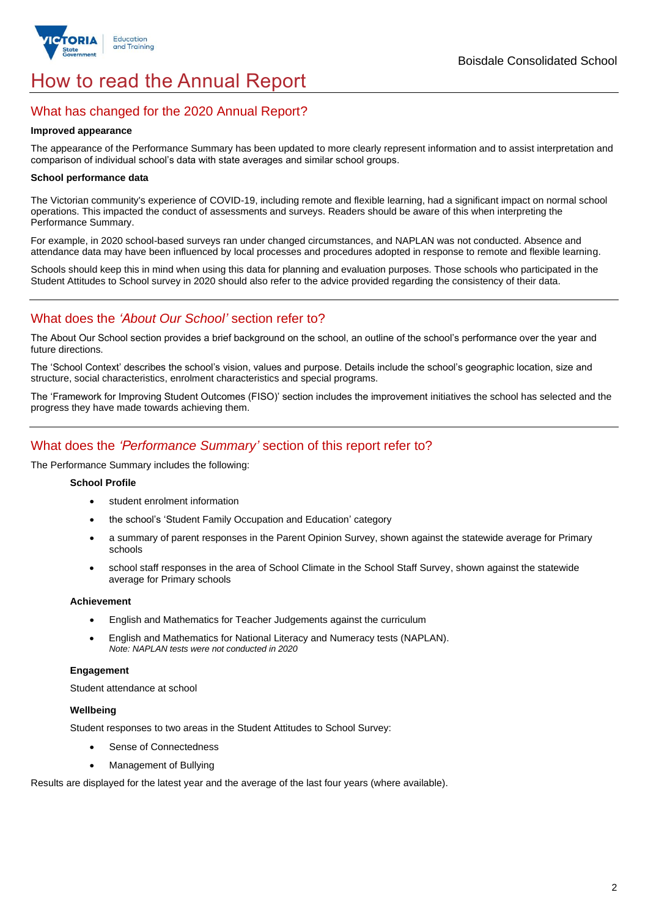

## How to read the Annual Report

## What has changed for the 2020 Annual Report?

#### **Improved appearance**

The appearance of the Performance Summary has been updated to more clearly represent information and to assist interpretation and comparison of individual school's data with state averages and similar school groups.

#### **School performance data**

The Victorian community's experience of COVID-19, including remote and flexible learning, had a significant impact on normal school operations. This impacted the conduct of assessments and surveys. Readers should be aware of this when interpreting the Performance Summary.

For example, in 2020 school-based surveys ran under changed circumstances, and NAPLAN was not conducted. Absence and attendance data may have been influenced by local processes and procedures adopted in response to remote and flexible learning.

Schools should keep this in mind when using this data for planning and evaluation purposes. Those schools who participated in the Student Attitudes to School survey in 2020 should also refer to the advice provided regarding the consistency of their data.

## What does the *'About Our School'* section refer to?

The About Our School section provides a brief background on the school, an outline of the school's performance over the year and future directions.

The 'School Context' describes the school's vision, values and purpose. Details include the school's geographic location, size and structure, social characteristics, enrolment characteristics and special programs.

The 'Framework for Improving Student Outcomes (FISO)' section includes the improvement initiatives the school has selected and the progress they have made towards achieving them.

## What does the *'Performance Summary'* section of this report refer to?

The Performance Summary includes the following:

#### **School Profile**

- student enrolment information
- the school's 'Student Family Occupation and Education' category
- a summary of parent responses in the Parent Opinion Survey, shown against the statewide average for Primary schools
- school staff responses in the area of School Climate in the School Staff Survey, shown against the statewide average for Primary schools

#### **Achievement**

- English and Mathematics for Teacher Judgements against the curriculum
- English and Mathematics for National Literacy and Numeracy tests (NAPLAN). *Note: NAPLAN tests were not conducted in 2020*

### **Engagement**

Student attendance at school

#### **Wellbeing**

Student responses to two areas in the Student Attitudes to School Survey:

- Sense of Connectedness
- Management of Bullying

Results are displayed for the latest year and the average of the last four years (where available).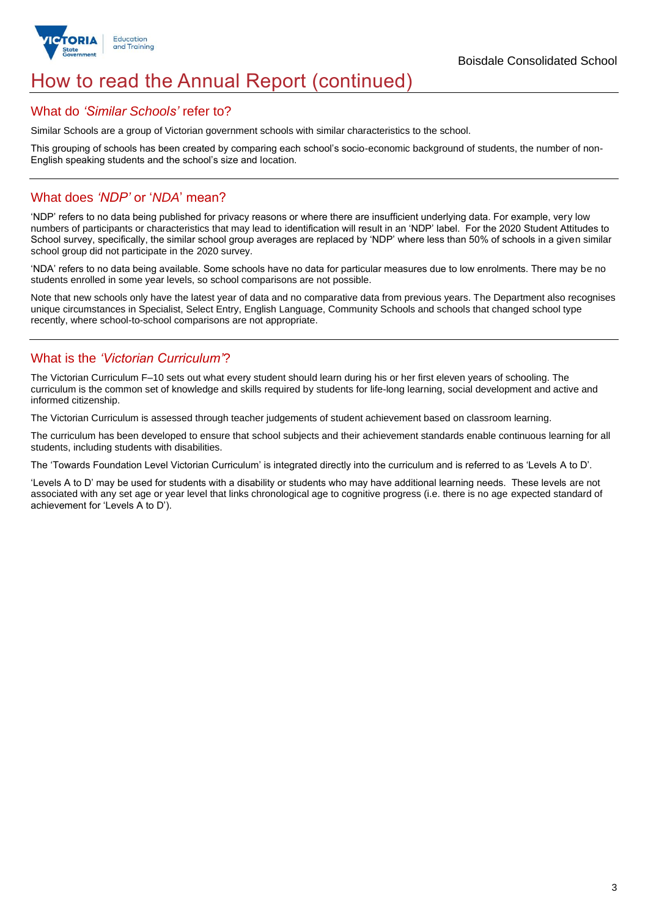

## How to read the Annual Report (continued)

### What do *'Similar Schools'* refer to?

Similar Schools are a group of Victorian government schools with similar characteristics to the school.

This grouping of schools has been created by comparing each school's socio-economic background of students, the number of non-English speaking students and the school's size and location.

## What does *'NDP'* or '*NDA*' mean?

'NDP' refers to no data being published for privacy reasons or where there are insufficient underlying data. For example, very low numbers of participants or characteristics that may lead to identification will result in an 'NDP' label. For the 2020 Student Attitudes to School survey, specifically, the similar school group averages are replaced by 'NDP' where less than 50% of schools in a given similar school group did not participate in the 2020 survey.

'NDA' refers to no data being available. Some schools have no data for particular measures due to low enrolments. There may be no students enrolled in some year levels, so school comparisons are not possible.

Note that new schools only have the latest year of data and no comparative data from previous years. The Department also recognises unique circumstances in Specialist, Select Entry, English Language, Community Schools and schools that changed school type recently, where school-to-school comparisons are not appropriate.

## What is the *'Victorian Curriculum'*?

The Victorian Curriculum F–10 sets out what every student should learn during his or her first eleven years of schooling. The curriculum is the common set of knowledge and skills required by students for life-long learning, social development and active and informed citizenship.

The Victorian Curriculum is assessed through teacher judgements of student achievement based on classroom learning.

The curriculum has been developed to ensure that school subjects and their achievement standards enable continuous learning for all students, including students with disabilities.

The 'Towards Foundation Level Victorian Curriculum' is integrated directly into the curriculum and is referred to as 'Levels A to D'.

'Levels A to D' may be used for students with a disability or students who may have additional learning needs. These levels are not associated with any set age or year level that links chronological age to cognitive progress (i.e. there is no age expected standard of achievement for 'Levels A to D').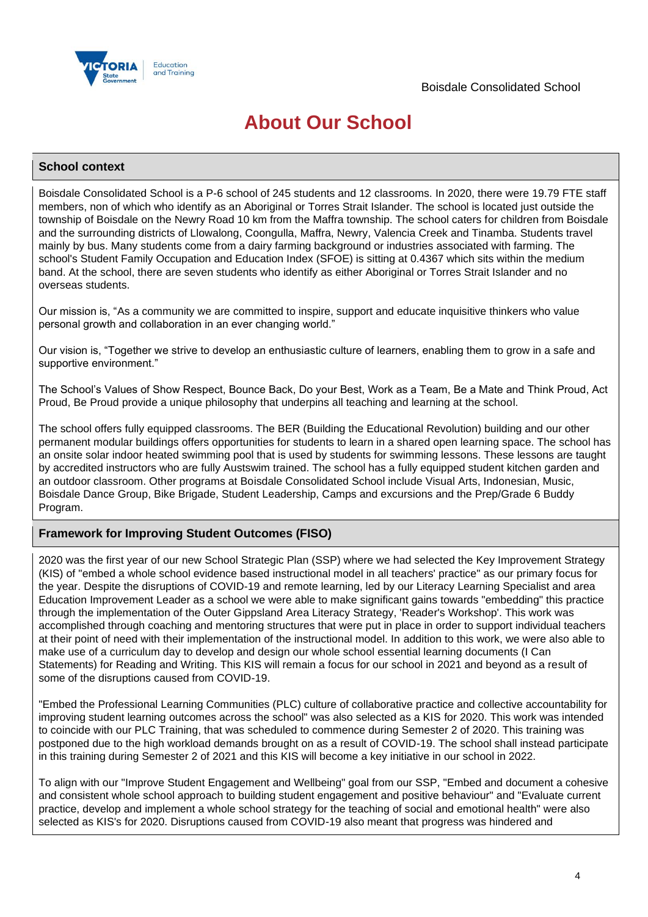

## **About Our School**

### **School context**

Boisdale Consolidated School is a P-6 school of 245 students and 12 classrooms. In 2020, there were 19.79 FTE staff members, non of which who identify as an Aboriginal or Torres Strait Islander. The school is located just outside the township of Boisdale on the Newry Road 10 km from the Maffra township. The school caters for children from Boisdale and the surrounding districts of Llowalong, Coongulla, Maffra, Newry, Valencia Creek and Tinamba. Students travel mainly by bus. Many students come from a dairy farming background or industries associated with farming. The school's Student Family Occupation and Education Index (SFOE) is sitting at 0.4367 which sits within the medium band. At the school, there are seven students who identify as either Aboriginal or Torres Strait Islander and no overseas students.

Our mission is, "As a community we are committed to inspire, support and educate inquisitive thinkers who value personal growth and collaboration in an ever changing world."

Our vision is, "Together we strive to develop an enthusiastic culture of learners, enabling them to grow in a safe and supportive environment."

The School's Values of Show Respect, Bounce Back, Do your Best, Work as a Team, Be a Mate and Think Proud, Act Proud, Be Proud provide a unique philosophy that underpins all teaching and learning at the school.

The school offers fully equipped classrooms. The BER (Building the Educational Revolution) building and our other permanent modular buildings offers opportunities for students to learn in a shared open learning space. The school has an onsite solar indoor heated swimming pool that is used by students for swimming lessons. These lessons are taught by accredited instructors who are fully Austswim trained. The school has a fully equipped student kitchen garden and an outdoor classroom. Other programs at Boisdale Consolidated School include Visual Arts, Indonesian, Music, Boisdale Dance Group, Bike Brigade, Student Leadership, Camps and excursions and the Prep/Grade 6 Buddy Program.

## **Framework for Improving Student Outcomes (FISO)**

2020 was the first year of our new School Strategic Plan (SSP) where we had selected the Key Improvement Strategy (KIS) of "embed a whole school evidence based instructional model in all teachers' practice" as our primary focus for the year. Despite the disruptions of COVID-19 and remote learning, led by our Literacy Learning Specialist and area Education Improvement Leader as a school we were able to make significant gains towards "embedding" this practice through the implementation of the Outer Gippsland Area Literacy Strategy, 'Reader's Workshop'. This work was accomplished through coaching and mentoring structures that were put in place in order to support individual teachers at their point of need with their implementation of the instructional model. In addition to this work, we were also able to make use of a curriculum day to develop and design our whole school essential learning documents (I Can Statements) for Reading and Writing. This KIS will remain a focus for our school in 2021 and beyond as a result of some of the disruptions caused from COVID-19.

"Embed the Professional Learning Communities (PLC) culture of collaborative practice and collective accountability for improving student learning outcomes across the school" was also selected as a KIS for 2020. This work was intended to coincide with our PLC Training, that was scheduled to commence during Semester 2 of 2020. This training was postponed due to the high workload demands brought on as a result of COVID-19. The school shall instead participate in this training during Semester 2 of 2021 and this KIS will become a key initiative in our school in 2022.

To align with our "Improve Student Engagement and Wellbeing" goal from our SSP, "Embed and document a cohesive and consistent whole school approach to building student engagement and positive behaviour" and "Evaluate current practice, develop and implement a whole school strategy for the teaching of social and emotional health" were also selected as KIS's for 2020. Disruptions caused from COVID-19 also meant that progress was hindered and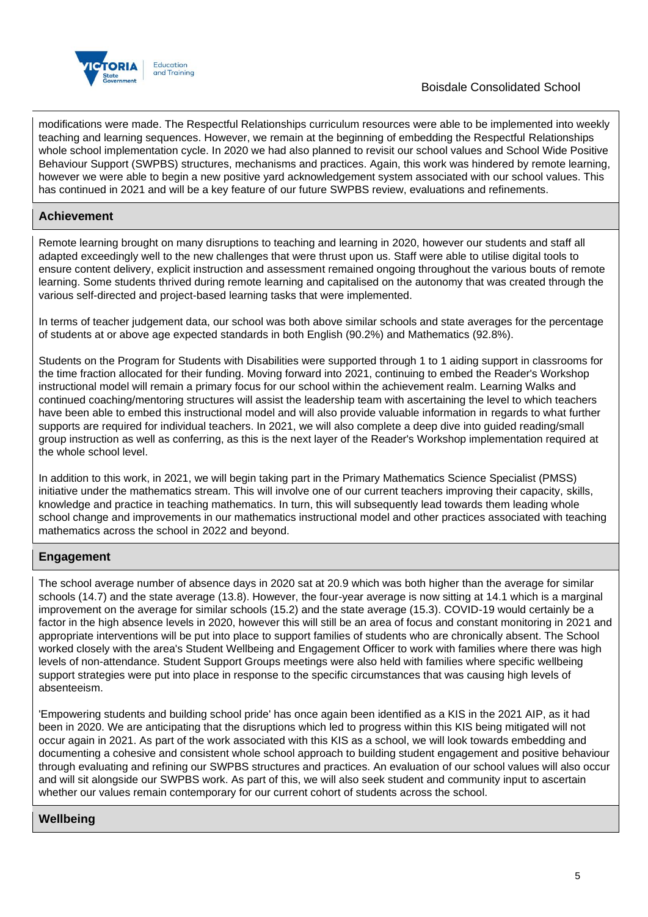

modifications were made. The Respectful Relationships curriculum resources were able to be implemented into weekly teaching and learning sequences. However, we remain at the beginning of embedding the Respectful Relationships whole school implementation cycle. In 2020 we had also planned to revisit our school values and School Wide Positive Behaviour Support (SWPBS) structures, mechanisms and practices. Again, this work was hindered by remote learning, however we were able to begin a new positive yard acknowledgement system associated with our school values. This has continued in 2021 and will be a key feature of our future SWPBS review, evaluations and refinements.

## **Achievement**

Remote learning brought on many disruptions to teaching and learning in 2020, however our students and staff all adapted exceedingly well to the new challenges that were thrust upon us. Staff were able to utilise digital tools to ensure content delivery, explicit instruction and assessment remained ongoing throughout the various bouts of remote learning. Some students thrived during remote learning and capitalised on the autonomy that was created through the various self-directed and project-based learning tasks that were implemented.

In terms of teacher judgement data, our school was both above similar schools and state averages for the percentage of students at or above age expected standards in both English (90.2%) and Mathematics (92.8%).

Students on the Program for Students with Disabilities were supported through 1 to 1 aiding support in classrooms for the time fraction allocated for their funding. Moving forward into 2021, continuing to embed the Reader's Workshop instructional model will remain a primary focus for our school within the achievement realm. Learning Walks and continued coaching/mentoring structures will assist the leadership team with ascertaining the level to which teachers have been able to embed this instructional model and will also provide valuable information in regards to what further supports are required for individual teachers. In 2021, we will also complete a deep dive into guided reading/small group instruction as well as conferring, as this is the next layer of the Reader's Workshop implementation required at the whole school level.

In addition to this work, in 2021, we will begin taking part in the Primary Mathematics Science Specialist (PMSS) initiative under the mathematics stream. This will involve one of our current teachers improving their capacity, skills, knowledge and practice in teaching mathematics. In turn, this will subsequently lead towards them leading whole school change and improvements in our mathematics instructional model and other practices associated with teaching mathematics across the school in 2022 and beyond.

## **Engagement**

The school average number of absence days in 2020 sat at 20.9 which was both higher than the average for similar schools (14.7) and the state average (13.8). However, the four-year average is now sitting at 14.1 which is a marginal improvement on the average for similar schools (15.2) and the state average (15.3). COVID-19 would certainly be a factor in the high absence levels in 2020, however this will still be an area of focus and constant monitoring in 2021 and appropriate interventions will be put into place to support families of students who are chronically absent. The School worked closely with the area's Student Wellbeing and Engagement Officer to work with families where there was high levels of non-attendance. Student Support Groups meetings were also held with families where specific wellbeing support strategies were put into place in response to the specific circumstances that was causing high levels of absenteeism.

'Empowering students and building school pride' has once again been identified as a KIS in the 2021 AIP, as it had been in 2020. We are anticipating that the disruptions which led to progress within this KIS being mitigated will not occur again in 2021. As part of the work associated with this KIS as a school, we will look towards embedding and documenting a cohesive and consistent whole school approach to building student engagement and positive behaviour through evaluating and refining our SWPBS structures and practices. An evaluation of our school values will also occur and will sit alongside our SWPBS work. As part of this, we will also seek student and community input to ascertain whether our values remain contemporary for our current cohort of students across the school.

## **Wellbeing**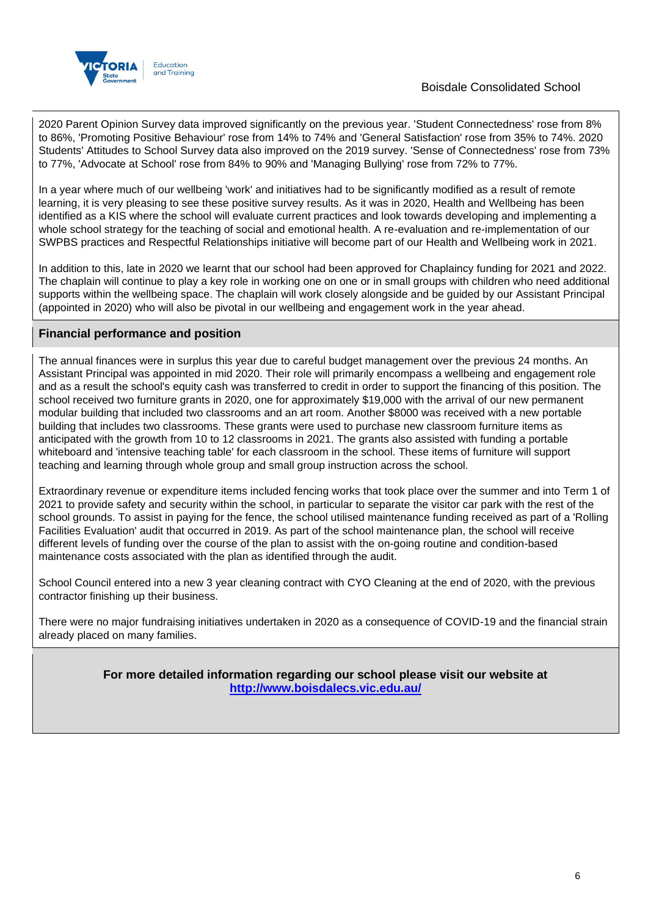

## Boisdale Consolidated School

2020 Parent Opinion Survey data improved significantly on the previous year. 'Student Connectedness' rose from 8% to 86%, 'Promoting Positive Behaviour' rose from 14% to 74% and 'General Satisfaction' rose from 35% to 74%. 2020 Students' Attitudes to School Survey data also improved on the 2019 survey. 'Sense of Connectedness' rose from 73% to 77%, 'Advocate at School' rose from 84% to 90% and 'Managing Bullying' rose from 72% to 77%.

In a year where much of our wellbeing 'work' and initiatives had to be significantly modified as a result of remote learning, it is very pleasing to see these positive survey results. As it was in 2020, Health and Wellbeing has been identified as a KIS where the school will evaluate current practices and look towards developing and implementing a whole school strategy for the teaching of social and emotional health. A re-evaluation and re-implementation of our SWPBS practices and Respectful Relationships initiative will become part of our Health and Wellbeing work in 2021.

In addition to this, late in 2020 we learnt that our school had been approved for Chaplaincy funding for 2021 and 2022. The chaplain will continue to play a key role in working one on one or in small groups with children who need additional supports within the wellbeing space. The chaplain will work closely alongside and be guided by our Assistant Principal (appointed in 2020) who will also be pivotal in our wellbeing and engagement work in the year ahead.

## **Financial performance and position**

The annual finances were in surplus this year due to careful budget management over the previous 24 months. An Assistant Principal was appointed in mid 2020. Their role will primarily encompass a wellbeing and engagement role and as a result the school's equity cash was transferred to credit in order to support the financing of this position. The school received two furniture grants in 2020, one for approximately \$19,000 with the arrival of our new permanent modular building that included two classrooms and an art room. Another \$8000 was received with a new portable building that includes two classrooms. These grants were used to purchase new classroom furniture items as anticipated with the growth from 10 to 12 classrooms in 2021. The grants also assisted with funding a portable whiteboard and 'intensive teaching table' for each classroom in the school. These items of furniture will support teaching and learning through whole group and small group instruction across the school.

Extraordinary revenue or expenditure items included fencing works that took place over the summer and into Term 1 of 2021 to provide safety and security within the school, in particular to separate the visitor car park with the rest of the school grounds. To assist in paying for the fence, the school utilised maintenance funding received as part of a 'Rolling Facilities Evaluation' audit that occurred in 2019. As part of the school maintenance plan, the school will receive different levels of funding over the course of the plan to assist with the on-going routine and condition-based maintenance costs associated with the plan as identified through the audit.

School Council entered into a new 3 year cleaning contract with CYO Cleaning at the end of 2020, with the previous contractor finishing up their business.

There were no major fundraising initiatives undertaken in 2020 as a consequence of COVID-19 and the financial strain already placed on many families.

> **For more detailed information regarding our school please visit our website at <http://www.boisdalecs.vic.edu.au/>**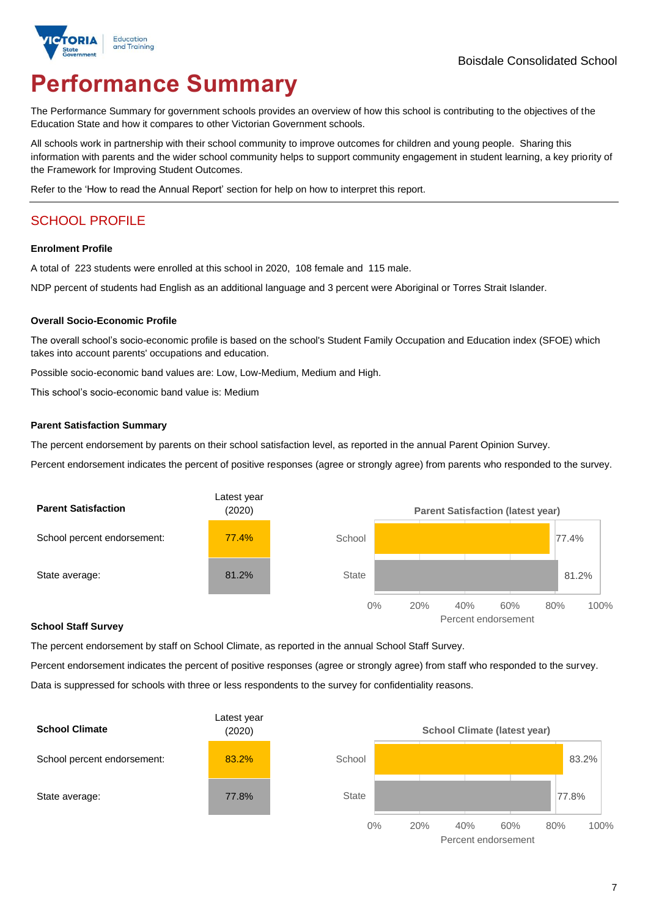

# **Performance Summary**

The Performance Summary for government schools provides an overview of how this school is contributing to the objectives of the Education State and how it compares to other Victorian Government schools.

All schools work in partnership with their school community to improve outcomes for children and young people. Sharing this information with parents and the wider school community helps to support community engagement in student learning, a key priority of the Framework for Improving Student Outcomes.

Refer to the 'How to read the Annual Report' section for help on how to interpret this report.

## SCHOOL PROFILE

#### **Enrolment Profile**

A total of 223 students were enrolled at this school in 2020, 108 female and 115 male.

NDP percent of students had English as an additional language and 3 percent were Aboriginal or Torres Strait Islander.

#### **Overall Socio-Economic Profile**

The overall school's socio-economic profile is based on the school's Student Family Occupation and Education index (SFOE) which takes into account parents' occupations and education.

Possible socio-economic band values are: Low, Low-Medium, Medium and High.

This school's socio-economic band value is: Medium

#### **Parent Satisfaction Summary**

The percent endorsement by parents on their school satisfaction level, as reported in the annual Parent Opinion Survey.

Percent endorsement indicates the percent of positive responses (agree or strongly agree) from parents who responded to the survey.



#### **School Staff Survey**

The percent endorsement by staff on School Climate, as reported in the annual School Staff Survey.

Percent endorsement indicates the percent of positive responses (agree or strongly agree) from staff who responded to the survey. Data is suppressed for schools with three or less respondents to the survey for confidentiality reasons.



Percent endorsement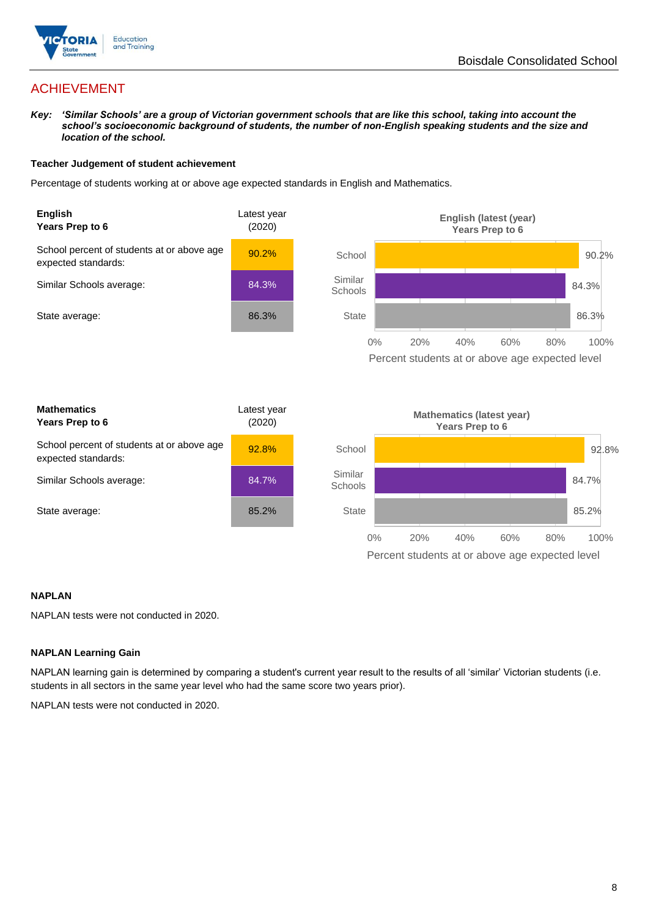

## ACHIEVEMENT

*Key: 'Similar Schools' are a group of Victorian government schools that are like this school, taking into account the school's socioeconomic background of students, the number of non-English speaking students and the size and location of the school.*

#### **Teacher Judgement of student achievement**

Percentage of students working at or above age expected standards in English and Mathematics.



#### **NAPLAN**

NAPLAN tests were not conducted in 2020.

#### **NAPLAN Learning Gain**

NAPLAN learning gain is determined by comparing a student's current year result to the results of all 'similar' Victorian students (i.e. students in all sectors in the same year level who had the same score two years prior).

NAPLAN tests were not conducted in 2020.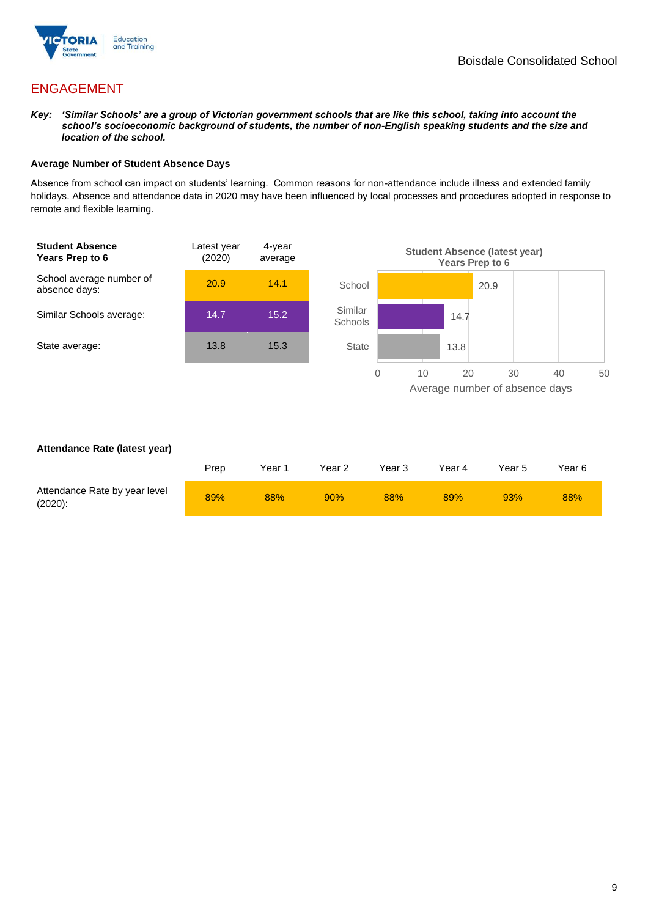

## ENGAGEMENT

*Key: 'Similar Schools' are a group of Victorian government schools that are like this school, taking into account the school's socioeconomic background of students, the number of non-English speaking students and the size and location of the school.*

#### **Average Number of Student Absence Days**

Absence from school can impact on students' learning. Common reasons for non-attendance include illness and extended family holidays. Absence and attendance data in 2020 may have been influenced by local processes and procedures adopted in response to remote and flexible learning.



#### **Attendance Rate (latest year)**

|                                             | Prep | Year 1 | Year 2 | Year 3 | Year 4 | Year 5 | Year 6 |
|---------------------------------------------|------|--------|--------|--------|--------|--------|--------|
| Attendance Rate by year level<br>$(2020)$ : | 89%  | 88%    | 90%    | 88%    | 89%    | 93%    | 88%    |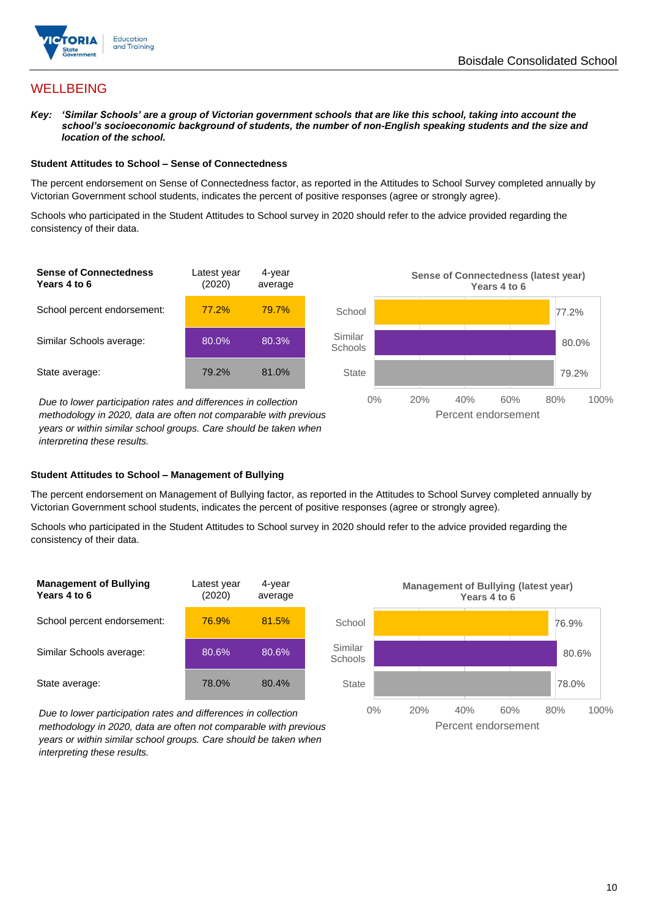

## **WELLBEING**

*Key: 'Similar Schools' are a group of Victorian government schools that are like this school, taking into account the school's socioeconomic background of students, the number of non-English speaking students and the size and location of the school.*

#### **Student Attitudes to School – Sense of Connectedness**

The percent endorsement on Sense of Connectedness factor, as reported in the Attitudes to School Survey completed annually by Victorian Government school students, indicates the percent of positive responses (agree or strongly agree).

Schools who participated in the Student Attitudes to School survey in 2020 should refer to the advice provided regarding the consistency of their data.



*methodology in 2020, data are often not comparable with previous years or within similar school groups. Care should be taken when interpreting these results.*

#### **Student Attitudes to School – Management of Bullying**

The percent endorsement on Management of Bullying factor, as reported in the Attitudes to School Survey completed annually by Victorian Government school students, indicates the percent of positive responses (agree or strongly agree).

Schools who participated in the Student Attitudes to School survey in 2020 should refer to the advice provided regarding the consistency of their data.



*Due to lower participation rates and differences in collection methodology in 2020, data are often not comparable with previous years or within similar school groups. Care should be taken when interpreting these results.*

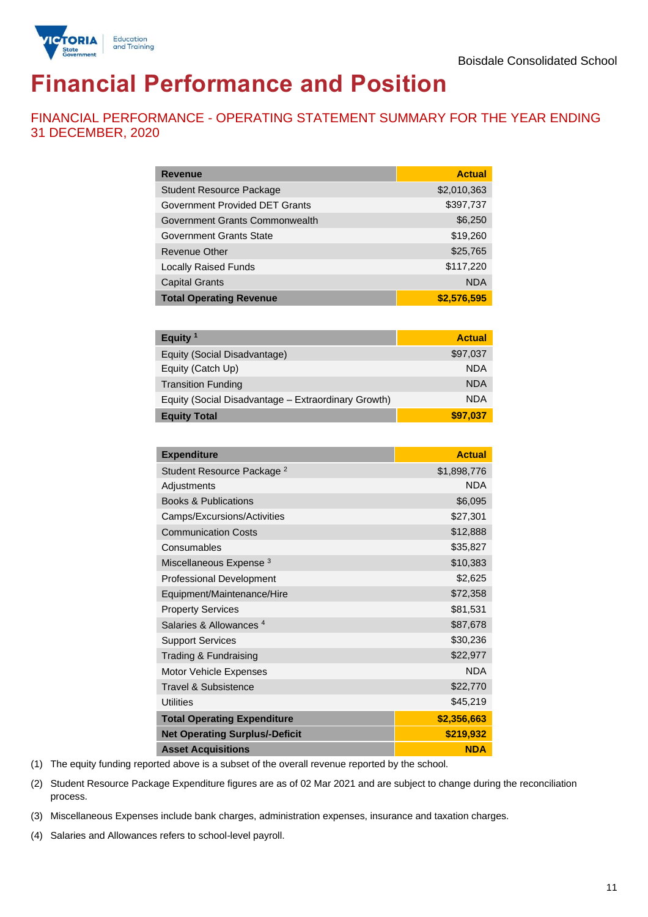

# **Financial Performance and Position**

FINANCIAL PERFORMANCE - OPERATING STATEMENT SUMMARY FOR THE YEAR ENDING 31 DECEMBER, 2020

| <b>Revenue</b>                  | <b>Actual</b> |
|---------------------------------|---------------|
| <b>Student Resource Package</b> | \$2,010,363   |
| Government Provided DET Grants  | \$397,737     |
| Government Grants Commonwealth  | \$6,250       |
| Government Grants State         | \$19,260      |
| <b>Revenue Other</b>            | \$25,765      |
| <b>Locally Raised Funds</b>     | \$117,220     |
| <b>Capital Grants</b>           | <b>NDA</b>    |
| <b>Total Operating Revenue</b>  | \$2,576,595   |

| Equity $1$                                          | <b>Actual</b> |
|-----------------------------------------------------|---------------|
| Equity (Social Disadvantage)                        | \$97,037      |
| Equity (Catch Up)                                   | <b>NDA</b>    |
| <b>Transition Funding</b>                           | <b>NDA</b>    |
| Equity (Social Disadvantage - Extraordinary Growth) | <b>NDA</b>    |
| <b>Equity Total</b>                                 | \$97,037      |

| <b>Expenditure</b>                    | <b>Actual</b> |
|---------------------------------------|---------------|
| Student Resource Package <sup>2</sup> | \$1,898,776   |
| Adjustments                           | <b>NDA</b>    |
| <b>Books &amp; Publications</b>       | \$6,095       |
| Camps/Excursions/Activities           | \$27,301      |
| <b>Communication Costs</b>            | \$12,888      |
| Consumables                           | \$35,827      |
| Miscellaneous Expense <sup>3</sup>    | \$10,383      |
| <b>Professional Development</b>       | \$2,625       |
| Equipment/Maintenance/Hire            | \$72,358      |
| <b>Property Services</b>              | \$81,531      |
| Salaries & Allowances <sup>4</sup>    | \$87,678      |
| <b>Support Services</b>               | \$30,236      |
| Trading & Fundraising                 | \$22,977      |
| Motor Vehicle Expenses                | <b>NDA</b>    |
| Travel & Subsistence                  | \$22,770      |
| <b>Utilities</b>                      | \$45,219      |
| <b>Total Operating Expenditure</b>    | \$2,356,663   |
| <b>Net Operating Surplus/-Deficit</b> | \$219,932     |
| <b>Asset Acquisitions</b>             | <b>NDA</b>    |

(1) The equity funding reported above is a subset of the overall revenue reported by the school.

(2) Student Resource Package Expenditure figures are as of 02 Mar 2021 and are subject to change during the reconciliation process.

(3) Miscellaneous Expenses include bank charges, administration expenses, insurance and taxation charges.

(4) Salaries and Allowances refers to school-level payroll.